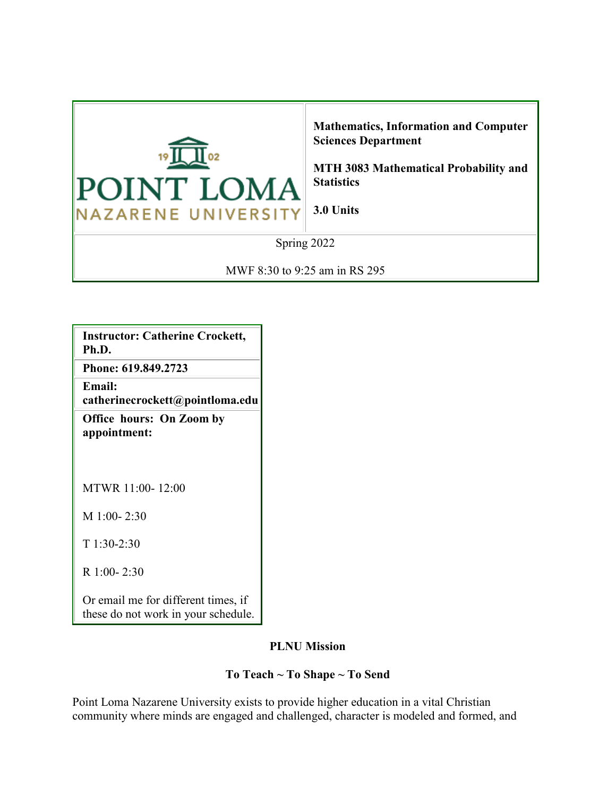

**Mathematics, Information and Computer Sciences Department**

**MTH 3083 Mathematical Probability and Statistics**

**3.0 Units**

Spring 2022

MWF 8:30 to 9:25 am in RS 295

**Instructor: Catherine Crockett, Ph.D.**

**Phone: 619.849.2723**

**Email: catherinecrockett@pointloma.edu**

**Office hours: On Zoom by appointment:**

MTWR 11:00- 12:00

M 1:00- 2:30

T 1:30-2:30

R 1:00- 2:30

Or email me for different times, if these do not work in your schedule.

#### **PLNU Mission**

#### **To Teach ~ To Shape ~ To Send**

Point Loma Nazarene University exists to provide higher education in a vital Christian community where minds are engaged and challenged, character is modeled and formed, and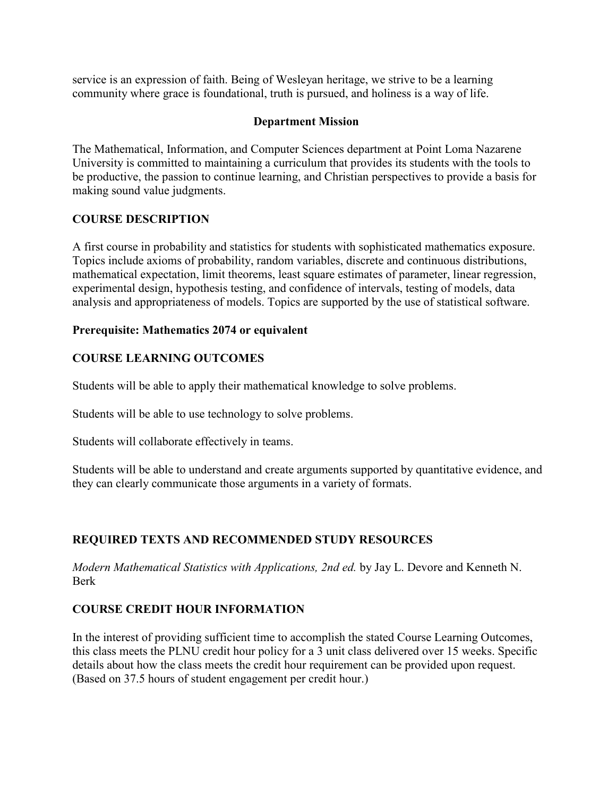service is an expression of faith. Being of Wesleyan heritage, we strive to be a learning community where grace is foundational, truth is pursued, and holiness is a way of life.

#### **Department Mission**

The Mathematical, Information, and Computer Sciences department at Point Loma Nazarene University is committed to maintaining a curriculum that provides its students with the tools to be productive, the passion to continue learning, and Christian perspectives to provide a basis for making sound value judgments.

### **COURSE DESCRIPTION**

A first course in probability and statistics for students with sophisticated mathematics exposure. Topics include axioms of probability, random variables, discrete and continuous distributions, mathematical expectation, limit theorems, least square estimates of parameter, linear regression, experimental design, hypothesis testing, and confidence of intervals, testing of models, data analysis and appropriateness of models. Topics are supported by the use of statistical software.

#### **Prerequisite: Mathematics 2074 or equivalent**

## **COURSE LEARNING OUTCOMES**

Students will be able to apply their mathematical knowledge to solve problems.

Students will be able to use technology to solve problems.

Students will collaborate effectively in teams.

Students will be able to understand and create arguments supported by quantitative evidence, and they can clearly communicate those arguments in a variety of formats.

## **REQUIRED TEXTS AND RECOMMENDED STUDY RESOURCES**

*Modern Mathematical Statistics with Applications, 2nd ed.* by Jay L. Devore and Kenneth N. Berk

## **COURSE CREDIT HOUR INFORMATION**

In the interest of providing sufficient time to accomplish the stated Course Learning Outcomes, this class meets the PLNU credit hour policy for a 3 unit class delivered over 15 weeks. Specific details about how the class meets the credit hour requirement can be provided upon request. (Based on 37.5 hours of student engagement per credit hour.)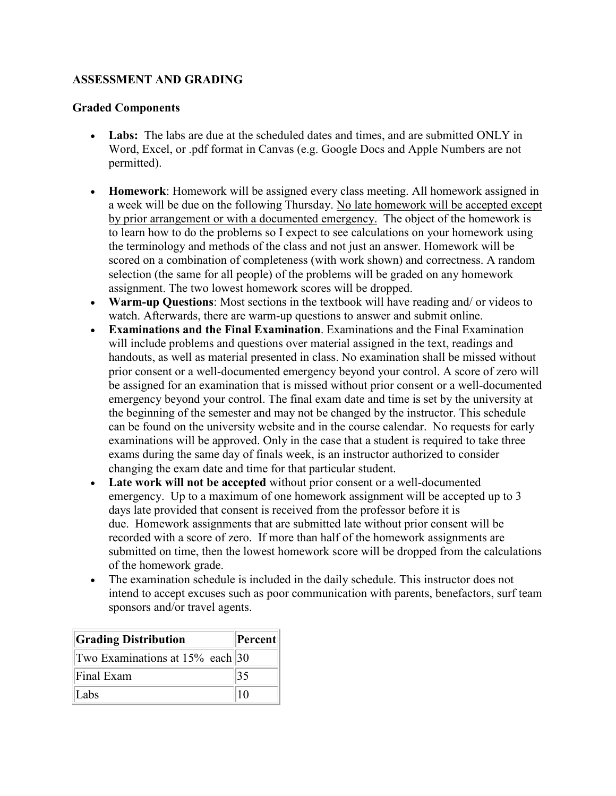#### **ASSESSMENT AND GRADING**

#### **Graded Components**

- Labs: The labs are due at the scheduled dates and times, and are submitted ONLY in Word, Excel, or .pdf format in Canvas (e.g. Google Docs and Apple Numbers are not permitted).
- **Homework**: Homework will be assigned every class meeting. All homework assigned in a week will be due on the following Thursday. No late homework will be accepted except by prior arrangement or with a documented emergency. The object of the homework is to learn how to do the problems so I expect to see calculations on your homework using the terminology and methods of the class and not just an answer. Homework will be scored on a combination of completeness (with work shown) and correctness. A random selection (the same for all people) of the problems will be graded on any homework assignment. The two lowest homework scores will be dropped.
- **Warm-up Questions**: Most sections in the textbook will have reading and/ or videos to watch. Afterwards, there are warm-up questions to answer and submit online.
- **Examinations and the Final Examination**. Examinations and the Final Examination will include problems and questions over material assigned in the text, readings and handouts, as well as material presented in class. No examination shall be missed without prior consent or a well-documented emergency beyond your control. A score of zero will be assigned for an examination that is missed without prior consent or a well-documented emergency beyond your control. The final exam date and time is set by the university at the beginning of the semester and may not be changed by the instructor. This schedule can be found on the university website and in the course calendar. No requests for early examinations will be approved. Only in the case that a student is required to take three exams during the same day of finals week, is an instructor authorized to consider changing the exam date and time for that particular student.
- **Late work will not be accepted** without prior consent or a well-documented emergency. Up to a maximum of one homework assignment will be accepted up to 3 days late provided that consent is received from the professor before it is due. Homework assignments that are submitted late without prior consent will be recorded with a score of zero. If more than half of the homework assignments are submitted on time, then the lowest homework score will be dropped from the calculations of the homework grade.
- The examination schedule is included in the daily schedule. This instructor does not intend to accept excuses such as poor communication with parents, benefactors, surf team sponsors and/or travel agents.

| <b><i><u>Srading Distribution</u></i></b> | Percent |
|-------------------------------------------|---------|
| Two Examinations at 15% each 30           |         |
| Final Exam                                | 135     |
| Labs                                      | 10      |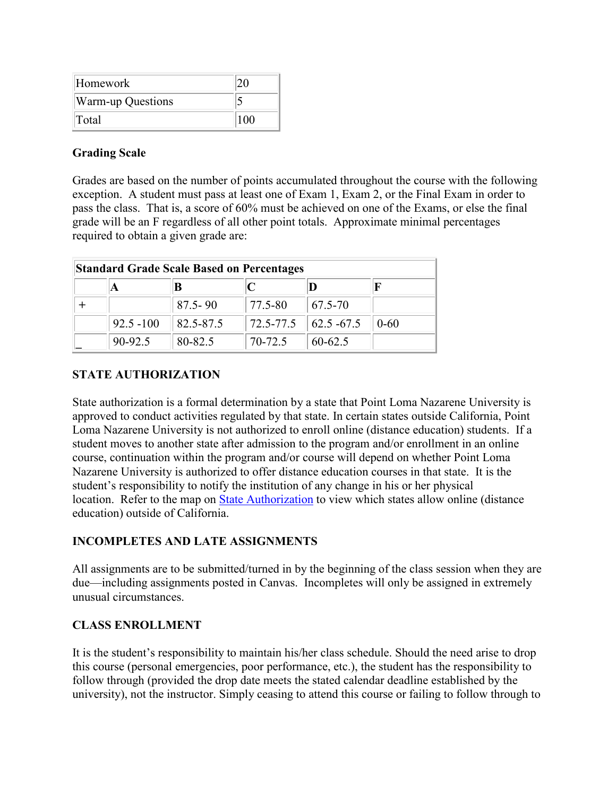| Homework                 |  |
|--------------------------|--|
| <b>Warm-up Questions</b> |  |
| <b>T</b> otal            |  |

#### **Grading Scale**

Grades are based on the number of points accumulated throughout the course with the following exception. A student must pass at least one of Exam 1, Exam 2, or the Final Exam in order to pass the class. That is, a score of 60% must be achieved on one of the Exams, or else the final grade will be an F regardless of all other point totals. Approximate minimal percentages required to obtain a given grade are:

| <b>Standard Grade Scale Based on Percentages</b> |              |             |           |                        |          |
|--------------------------------------------------|--------------|-------------|-----------|------------------------|----------|
|                                                  |              |             |           |                        |          |
|                                                  |              | $87.5 - 90$ | 77.5-80   | 67.5-70                |          |
|                                                  | $92.5 - 100$ | 82.5-87.5   | 72.5-77.5 | $\parallel$ 62.5 -67.5 | $0 - 60$ |
|                                                  | 90-92.5      | 80-82.5     | 70-72.5   | $60 - 62.5$            |          |

## **STATE AUTHORIZATION**

State authorization is a formal determination by a state that Point Loma Nazarene University is approved to conduct activities regulated by that state. In certain states outside California, Point Loma Nazarene University is not authorized to enroll online (distance education) students. If a student moves to another state after admission to the program and/or enrollment in an online course, continuation within the program and/or course will depend on whether Point Loma Nazarene University is authorized to offer distance education courses in that state. It is the student's responsibility to notify the institution of any change in his or her physical location. Refer to the map on [State Authorization](https://www.pointloma.edu/offices/office-institutional-effectiveness-research/disclosures) to view which states allow online (distance education) outside of California.

## **INCOMPLETES AND LATE ASSIGNMENTS**

All assignments are to be submitted/turned in by the beginning of the class session when they are due—including assignments posted in Canvas. Incompletes will only be assigned in extremely unusual circumstances.

## **CLASS ENROLLMENT**

It is the student's responsibility to maintain his/her class schedule. Should the need arise to drop this course (personal emergencies, poor performance, etc.), the student has the responsibility to follow through (provided the drop date meets the stated calendar deadline established by the university), not the instructor. Simply ceasing to attend this course or failing to follow through to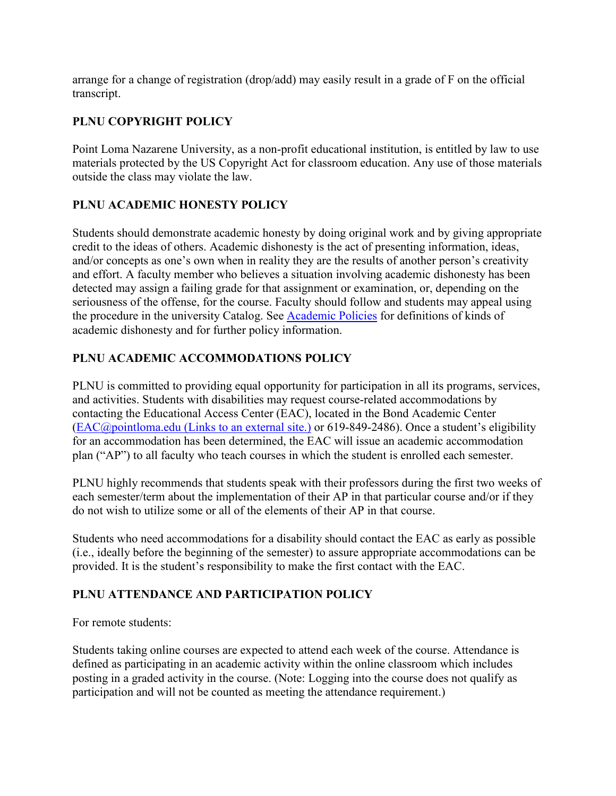arrange for a change of registration (drop/add) may easily result in a grade of F on the official transcript.

## **PLNU COPYRIGHT POLICY**

Point Loma Nazarene University, as a non-profit educational institution, is entitled by law to use materials protected by the US Copyright Act for classroom education. Any use of those materials outside the class may violate the law.

## **PLNU ACADEMIC HONESTY POLICY**

Students should demonstrate academic honesty by doing original work and by giving appropriate credit to the ideas of others. Academic dishonesty is the act of presenting information, ideas, and/or concepts as one's own when in reality they are the results of another person's creativity and effort. A faculty member who believes a situation involving academic dishonesty has been detected may assign a failing grade for that assignment or examination, or, depending on the seriousness of the offense, for the course. Faculty should follow and students may appeal using the procedure in the university Catalog. See [Academic Policies](http://catalog.pointloma.edu/content.php?catoid=18&navoid=1278) for definitions of kinds of academic dishonesty and for further policy information.

## **PLNU ACADEMIC ACCOMMODATIONS POLICY**

PLNU is committed to providing equal opportunity for participation in all its programs, services, and activities. Students with disabilities may request course-related accommodations by contacting the Educational Access Center (EAC), located in the Bond Academic Center (EAC@pointloma.edu [\(Links to an external site.\)](https://mail.google.com/mail/?view=cm&fs=1&tf=1&to=EAC@pointloma.edu) or 619-849-2486). Once a student's eligibility for an accommodation has been determined, the EAC will issue an academic accommodation plan ("AP") to all faculty who teach courses in which the student is enrolled each semester.

PLNU highly recommends that students speak with their professors during the first two weeks of each semester/term about the implementation of their AP in that particular course and/or if they do not wish to utilize some or all of the elements of their AP in that course.

Students who need accommodations for a disability should contact the EAC as early as possible (i.e., ideally before the beginning of the semester) to assure appropriate accommodations can be provided. It is the student's responsibility to make the first contact with the EAC.

## **PLNU ATTENDANCE AND PARTICIPATION POLICY**

For remote students:

Students taking online courses are expected to attend each week of the course. Attendance is defined as participating in an academic activity within the online classroom which includes posting in a graded activity in the course. (Note: Logging into the course does not qualify as participation and will not be counted as meeting the attendance requirement.)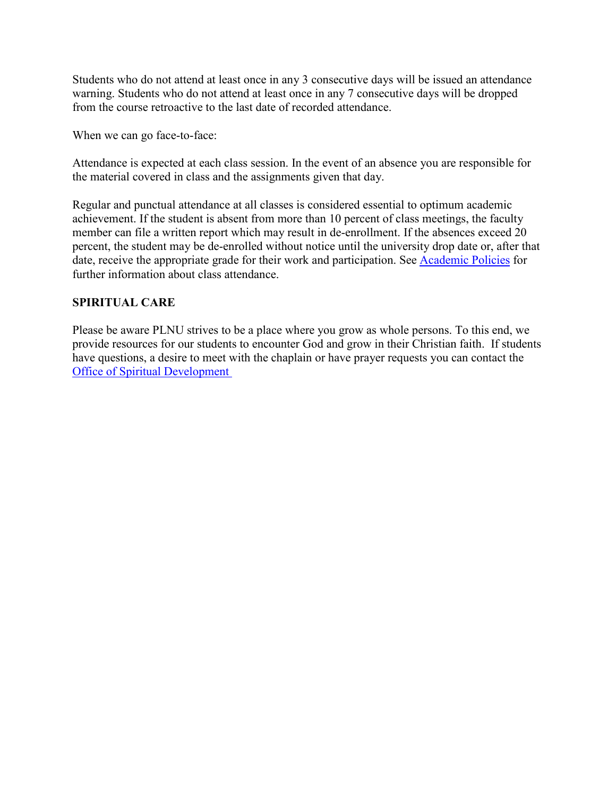Students who do not attend at least once in any 3 consecutive days will be issued an attendance warning. Students who do not attend at least once in any 7 consecutive days will be dropped from the course retroactive to the last date of recorded attendance.

When we can go face-to-face:

Attendance is expected at each class session. In the event of an absence you are responsible for the material covered in class and the assignments given that day.

Regular and punctual attendance at all classes is considered essential to optimum academic achievement. If the student is absent from more than 10 percent of class meetings, the faculty member can file a written report which may result in de-enrollment. If the absences exceed 20 percent, the student may be de-enrolled without notice until the university drop date or, after that date, receive the appropriate grade for their work and participation. See [Academic Policies](http://catalog.pointloma.edu/content.php?catoid=18&navoid=1278) for further information about class attendance.

### **SPIRITUAL CARE**

Please be aware PLNU strives to be a place where you grow as whole persons. To this end, we provide resources for our students to encounter God and grow in their Christian faith. If students have questions, a desire to meet with the chaplain or have prayer requests you can contact the [Office of Spiritual Development](https://www.pointloma.edu/offices/spiritual-development)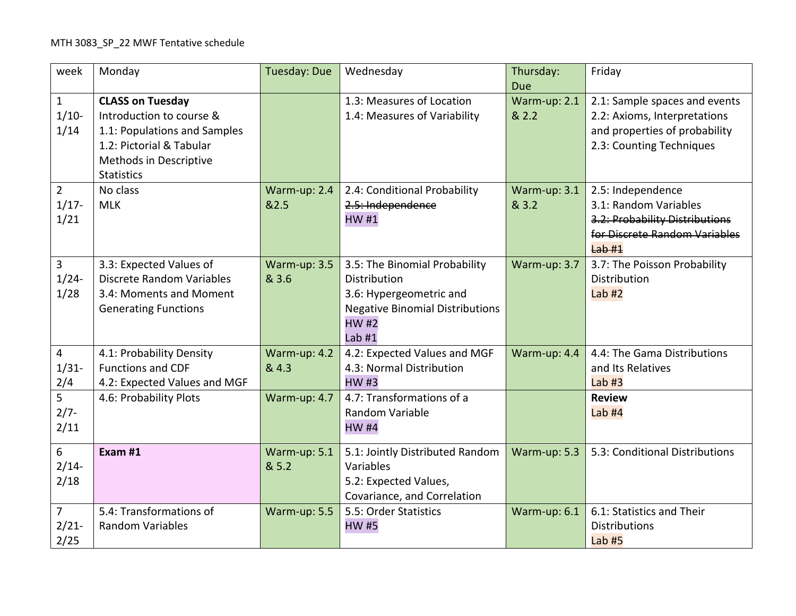| week                                                | Monday                                                                                                                                                         | <b>Tuesday: Due</b>   | Wednesday                                                                                                                                     | Thursday:<br>Due      | Friday                                                                                                                     |
|-----------------------------------------------------|----------------------------------------------------------------------------------------------------------------------------------------------------------------|-----------------------|-----------------------------------------------------------------------------------------------------------------------------------------------|-----------------------|----------------------------------------------------------------------------------------------------------------------------|
| $\mathbf{1}$<br>$1/10-$<br>1/14                     | <b>CLASS on Tuesday</b><br>Introduction to course &<br>1.1: Populations and Samples<br>1.2: Pictorial & Tabular<br>Methods in Descriptive<br><b>Statistics</b> |                       | 1.3: Measures of Location<br>1.4: Measures of Variability                                                                                     | Warm-up: 2.1<br>& 2.2 | 2.1: Sample spaces and events<br>2.2: Axioms, Interpretations<br>and properties of probability<br>2.3: Counting Techniques |
| $\overline{2}$<br>$1/17 -$<br>1/21                  | No class<br><b>MLK</b>                                                                                                                                         | Warm-up: 2.4<br>&2.5  | 2.4: Conditional Probability<br>2.5: Independence<br><b>HW#1</b>                                                                              | Warm-up: 3.1<br>& 3.2 | 2.5: Independence<br>3.1: Random Variables<br>3.2: Probability Distributions<br>for Discrete Random Variables<br>Lab#1     |
| $\overline{3}$<br>$1/24 -$<br>1/28                  | 3.3: Expected Values of<br>Discrete Random Variables<br>3.4: Moments and Moment<br><b>Generating Functions</b>                                                 | Warm-up: 3.5<br>& 3.6 | 3.5: The Binomial Probability<br>Distribution<br>3.6: Hypergeometric and<br><b>Negative Binomial Distributions</b><br><b>HW#2</b><br>Lab $#1$ | Warm-up: 3.7          | 3.7: The Poisson Probability<br>Distribution<br>Lab $#2$                                                                   |
| $\overline{4}$<br>$1/31$ -<br>2/4<br>$\overline{5}$ | 4.1: Probability Density<br><b>Functions and CDF</b><br>4.2: Expected Values and MGF                                                                           | Warm-up: 4.2<br>& 4.3 | 4.2: Expected Values and MGF<br>4.3: Normal Distribution<br><b>HW#3</b>                                                                       | Warm-up: 4.4          | 4.4: The Gama Distributions<br>and Its Relatives<br>Lab $#3$                                                               |
| $2/7 -$<br>2/11                                     | 4.6: Probability Plots                                                                                                                                         | Warm-up: 4.7          | 4.7: Transformations of a<br>Random Variable<br><b>HW #4</b>                                                                                  |                       | <b>Review</b><br>Lab $#4$                                                                                                  |
| $6\phantom{1}$<br>$2/14-$<br>2/18                   | Exam #1                                                                                                                                                        | Warm-up: 5.1<br>& 5.2 | 5.1: Jointly Distributed Random<br>Variables<br>5.2: Expected Values,<br>Covariance, and Correlation                                          | Warm-up: 5.3          | 5.3: Conditional Distributions                                                                                             |
| $\overline{7}$<br>$2/21 -$<br>2/25                  | 5.4: Transformations of<br><b>Random Variables</b>                                                                                                             | Warm-up: 5.5          | 5.5: Order Statistics<br><b>HW#5</b>                                                                                                          | Warm-up: 6.1          | 6.1: Statistics and Their<br><b>Distributions</b><br>Lab $#5$                                                              |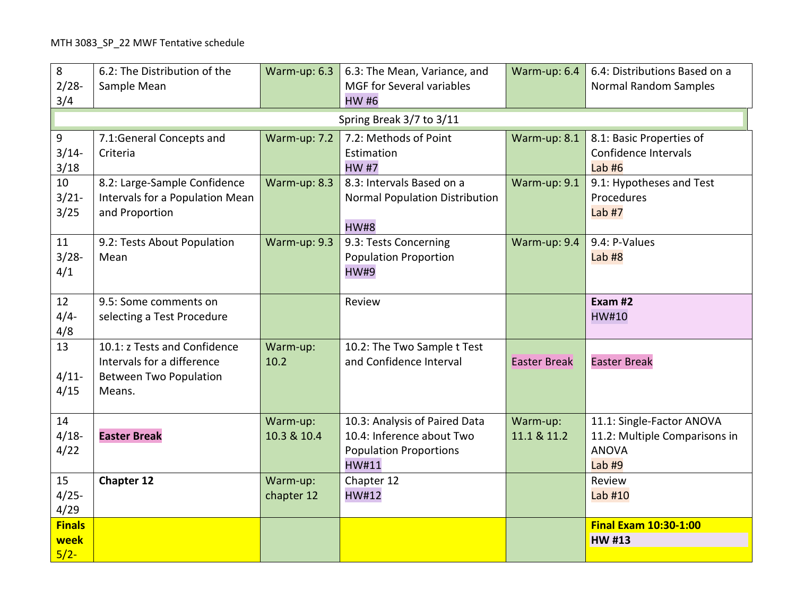| 8<br>$2/28-$  | 6.2: The Distribution of the<br>Sample Mean | Warm-up: 6.3 | 6.3: The Mean, Variance, and<br>MGF for Several variables | Warm-up: 6.4        | 6.4: Distributions Based on a<br><b>Normal Random Samples</b> |  |  |
|---------------|---------------------------------------------|--------------|-----------------------------------------------------------|---------------------|---------------------------------------------------------------|--|--|
| 3/4           |                                             |              | <b>HW#6</b>                                               |                     |                                                               |  |  |
|               | Spring Break 3/7 to 3/11                    |              |                                                           |                     |                                                               |  |  |
| $9\,$         | 7.1:General Concepts and                    | Warm-up: 7.2 | 7.2: Methods of Point                                     | Warm-up: 8.1        | 8.1: Basic Properties of                                      |  |  |
| $3/14-$       | Criteria                                    |              | Estimation                                                |                     | Confidence Intervals                                          |  |  |
| 3/18          |                                             |              | <b>HW#7</b>                                               |                     | Lab $#6$                                                      |  |  |
| 10            | 8.2: Large-Sample Confidence                | Warm-up: 8.3 | 8.3: Intervals Based on a                                 | Warm-up: 9.1        | 9.1: Hypotheses and Test                                      |  |  |
| $3/21$ -      | Intervals for a Population Mean             |              | Normal Population Distribution                            |                     | Procedures                                                    |  |  |
| 3/25          | and Proportion                              |              |                                                           |                     | Lab $#7$                                                      |  |  |
|               |                                             |              | <b>HW#8</b>                                               |                     |                                                               |  |  |
| 11            | 9.2: Tests About Population                 | Warm-up: 9.3 | 9.3: Tests Concerning                                     | Warm-up: 9.4        | 9.4: P-Values                                                 |  |  |
| $3/28 -$      | Mean                                        |              | <b>Population Proportion</b>                              |                     | Lab $#8$                                                      |  |  |
| 4/1           |                                             |              | <b>HW#9</b>                                               |                     |                                                               |  |  |
|               |                                             |              |                                                           |                     |                                                               |  |  |
| 12            | 9.5: Some comments on                       |              | Review                                                    |                     | Exam #2                                                       |  |  |
| $4/4-$        | selecting a Test Procedure                  |              |                                                           |                     | <b>HW#10</b>                                                  |  |  |
| 4/8           |                                             |              |                                                           |                     |                                                               |  |  |
| 13            | 10.1: z Tests and Confidence                | Warm-up:     | 10.2: The Two Sample t Test                               |                     |                                                               |  |  |
|               | Intervals for a difference                  | 10.2         | and Confidence Interval                                   | <b>Easter Break</b> | <b>Easter Break</b>                                           |  |  |
| $4/11$ -      | <b>Between Two Population</b>               |              |                                                           |                     |                                                               |  |  |
| 4/15          | Means.                                      |              |                                                           |                     |                                                               |  |  |
| 14            |                                             | Warm-up:     | 10.3: Analysis of Paired Data                             | Warm-up:            | 11.1: Single-Factor ANOVA                                     |  |  |
| $4/18-$       | <b>Easter Break</b>                         | 10.3 & 10.4  | 10.4: Inference about Two                                 | 11.1 & 11.2         | 11.2: Multiple Comparisons in                                 |  |  |
| 4/22          |                                             |              | <b>Population Proportions</b>                             |                     | <b>ANOVA</b>                                                  |  |  |
|               |                                             |              | <b>HW#11</b>                                              |                     | Lab $#9$                                                      |  |  |
| 15            | <b>Chapter 12</b>                           | Warm-up:     | Chapter 12                                                |                     | Review                                                        |  |  |
| $4/25 -$      |                                             | chapter 12   | <b>HW#12</b>                                              |                     | Lab #10                                                       |  |  |
| 4/29          |                                             |              |                                                           |                     |                                                               |  |  |
| <b>Finals</b> |                                             |              |                                                           |                     | <b>Final Exam 10:30-1:00</b>                                  |  |  |
| week          |                                             |              |                                                           |                     | <b>HW #13</b>                                                 |  |  |
| $5/2-$        |                                             |              |                                                           |                     |                                                               |  |  |